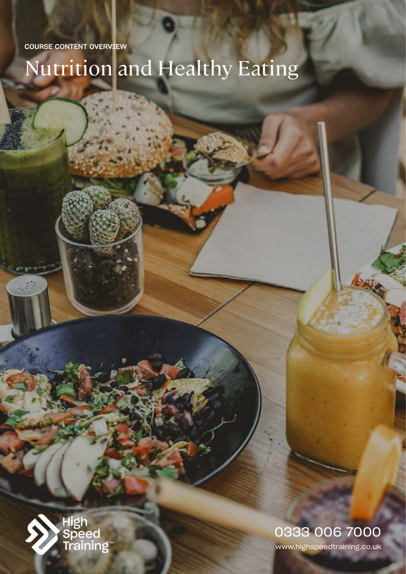COURSE CONTENT OVERVIEW

# Nutrition and Healthy Eating



www.highspeedtraining.co.uk 0333 006 7000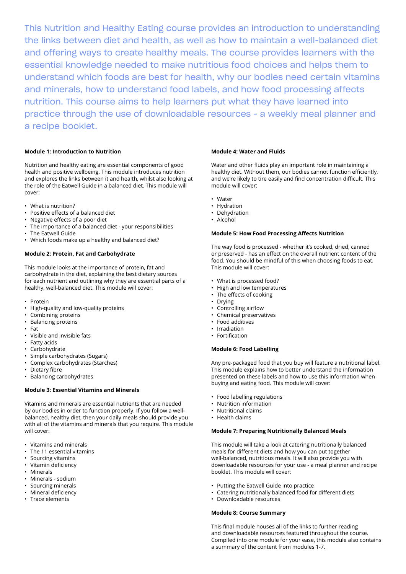This Nutrition and Healthy Eating course provides an introduction to understanding the links between diet and health, as well as how to maintain a well-balanced diet and offering ways to create healthy meals. The course provides learners with the essential knowledge needed to make nutritious food choices and helps them to understand which foods are best for health, why our bodies need certain vitamins and minerals, how to understand food labels, and how food processing affects nutrition. This course aims to help learners put what they have learned into practice through the use of downloadable resources - a weekly meal planner and a recipe booklet.

## **Module 1: Introduction to Nutrition**

Nutrition and healthy eating are essential components of good health and positive wellbeing. This module introduces nutrition and explores the links between it and health, whilst also looking at the role of the Eatwell Guide in a balanced diet. This module will cover:

- What is nutrition?
- Positive effects of a balanced diet
- Negative effects of a poor diet
- The importance of a balanced diet your responsibilities
- The Eatwell Guide
- Which foods make up a healthy and balanced diet?

#### **Module 2: Protein, Fat and Carbohydrate**

This module looks at the importance of protein, fat and carbohydrate in the diet, explaining the best dietary sources for each nutrient and outlining why they are essential parts of a healthy, well-balanced diet. This module will cover:

- Protein
- High-quality and low-quality proteins
- Combining proteins
- Balancing proteins
- Fat
- Visible and invisible fats
- Fatty acids
- Carbohydrate
- Simple carbohydrates (Sugars)
- Complex carbohydrates (Starches)
- Dietary fibre
- Balancing carbohydrates

#### **Module 3: Essential Vitamins and Minerals**

Vitamins and minerals are essential nutrients that are needed by our bodies in order to function properly. If you follow a wellbalanced, healthy diet, then your daily meals should provide you with all of the vitamins and minerals that you require. This module will cover:

- Vitamins and minerals
- The 11 essential vitamins
- Sourcing vitamins
- Vitamin deficiency
- Minerals
- Minerals sodium
- Sourcing minerals
- Mineral deficiency
- Trace elements

#### **Module 4: Water and Fluids**

Water and other fluids play an important role in maintaining a healthy diet. Without them, our bodies cannot function efficiently, and we're likely to tire easily and find concentration difficult. This module will cover:

- Water
- Hydration
- Dehydration
- Alcohol

#### **Module 5: How Food Processing Affects Nutrition**

The way food is processed - whether it's cooked, dried, canned or preserved - has an effect on the overall nutrient content of the food. You should be mindful of this when choosing foods to eat. This module will cover:

- What is processed food?
- High and low temperatures
- The effects of cooking
- Drying
- Controlling airflow
- Chemical preservatives
- Food additives
- Irradiation
- Fortification

# **Module 6: Food Labelling**

Any pre-packaged food that you buy will feature a nutritional label. This module explains how to better understand the information presented on these labels and how to use this information when buying and eating food. This module will cover:

- Food labelling regulations
- Nutrition information
- Nutritional claims
- Health claims

# **Module 7: Preparing Nutritionally Balanced Meals**

This module will take a look at catering nutritionally balanced meals for different diets and how you can put together well-balanced, nutritious meals. It will also provide you with downloadable resources for your use - a meal planner and recipe booklet. This module will cover:

- Putting the Eatwell Guide into practice
- Catering nutritionally balanced food for different diets
- Downloadable resources

### **Module 8: Course Summary**

This final module houses all of the links to further reading and downloadable resources featured throughout the course. Compiled into one module for your ease, this module also contains a summary of the content from modules 1-7.